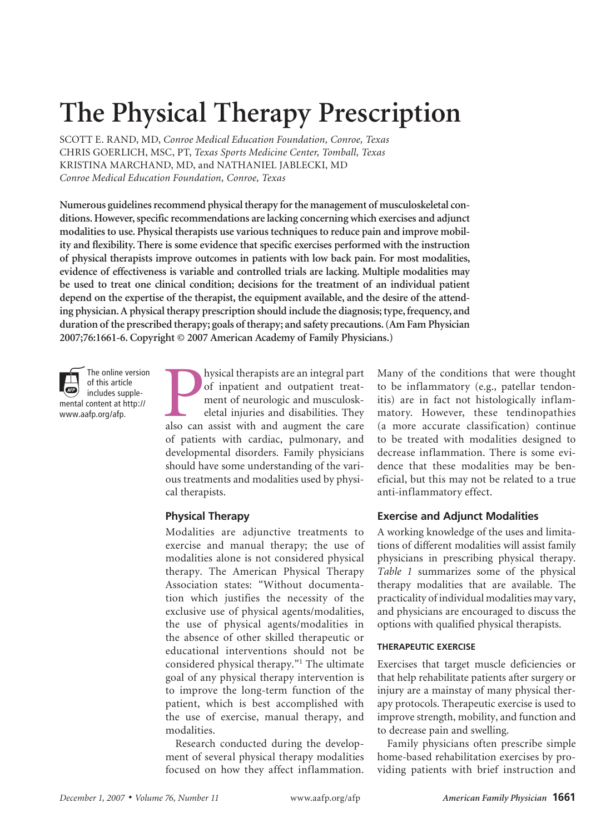# **The Physical Therapy Prescription**

SCOTT E. RAND, MD, *Conroe Medical Education Foundation, Conroe, Texas* CHRIS GOERLICH, MSc, PT, *Texas Sports Medicine Center, Tomball, Texas* KRISTINA MARCHAND, MD, and NATHANIEL JABLECKI, MD *Conroe Medical Education Foundation, Conroe, Texas*

**Numerous guidelines recommend physical therapy for the management of musculoskeletal conditions. However, specific recommendations are lacking concerning which exercises and adjunct modalities to use. Physical therapists use various techniques to reduce pain and improve mobility and flexibility. There is some evidence that specific exercises performed with the instruction of physical therapists improve outcomes in patients with low back pain. For most modalities, evidence of effectiveness is variable and controlled trials are lacking. Multiple modalities may be used to treat one clinical condition; decisions for the treatment of an individual patient depend on the expertise of the therapist, the equipment available, and the desire of the attending physician. A physical therapy prescription should include the diagnosis; type, frequency, and duration of the prescribed therapy; goals of therapy; and safety precautions. (Am Fam Physician 2007;76:1661-6. Copyright © 2007 American Academy of Family Physicians.)**



of this article  $AEP$ includes supplemental content at http:// www.aafp.org/afp.

The online version

also can assist with and augment the care also can assist with and augment the care<br>also can assist with and augment the care hysical therapists are an integral part of inpatient and outpatient treatment of neurologic and musculoskeletal injuries and disabilities. They of patients with cardiac, pulmonary, and developmental disorders. Family physicians should have some understanding of the various treatments and modalities used by physical therapists.

## **Physical Therapy**

Modalities are adjunctive treatments to exercise and manual therapy; the use of modalities alone is not considered physical therapy. The American Physical Therapy Association states: "Without documentation which justifies the necessity of the exclusive use of physical agents/modalities, the use of physical agents/modalities in the absence of other skilled therapeutic or educational interventions should not be considered physical therapy."1 The ultimate goal of any physical therapy intervention is to improve the long-term function of the patient, which is best accomplished with the use of exercise, manual therapy, and modalities.

Research conducted during the development of several physical therapy modalities focused on how they affect inflammation. Many of the conditions that were thought to be inflammatory (e.g., patellar tendonitis) are in fact not histologically inflammatory. However, these tendinopathies (a more accurate classification) continue to be treated with modalities designed to decrease inflammation. There is some evidence that these modalities may be beneficial, but this may not be related to a true anti-inflammatory effect.

#### **Exercise and Adjunct Modalities**

A working knowledge of the uses and limitations of different modalities will assist family physicians in prescribing physical therapy. *Table 1* summarizes some of the physical therapy modalities that are available. The practicality of individual modalities may vary, and physicians are encouraged to discuss the options with qualified physical therapists.

#### **therapeutic exercise**

Exercises that target muscle deficiencies or that help rehabilitate patients after surgery or injury are a mainstay of many physical therapy protocols. Therapeutic exercise is used to improve strength, mobility, and function and to decrease pain and swelling.

Family physicians often prescribe simple home-based rehabilitation exercises by providing patients with brief instruction and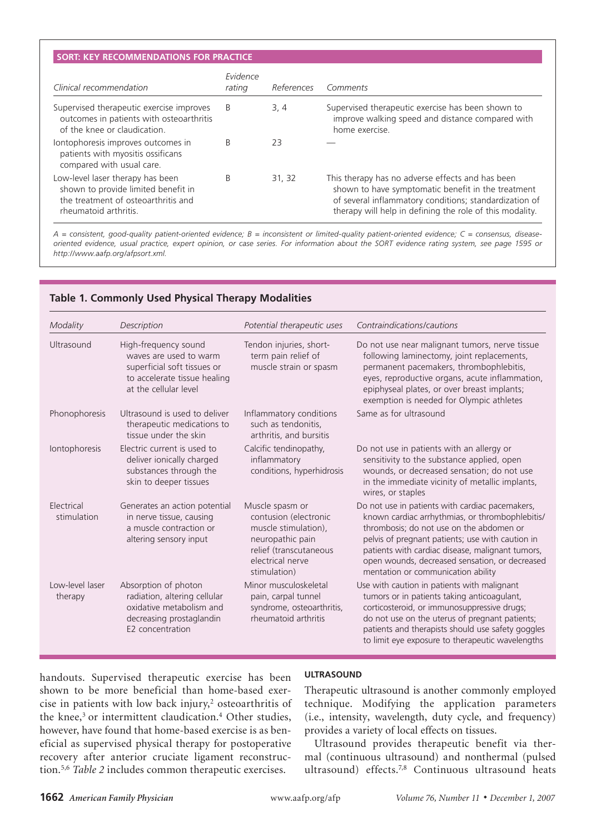#### **SORT: KEY RECOMMENDATIONS FOR PRACTICE**

**Physical Therapy Prescription**

|                                                                                                                                         | Evidence |            |                                                                                                                                                                                                                              |
|-----------------------------------------------------------------------------------------------------------------------------------------|----------|------------|------------------------------------------------------------------------------------------------------------------------------------------------------------------------------------------------------------------------------|
| Clinical recommendation                                                                                                                 | rating   | References | Comments                                                                                                                                                                                                                     |
| Supervised therapeutic exercise improves<br>outcomes in patients with osteoarthritis<br>of the knee or claudication.                    | B        | 3, 4       | Supervised therapeutic exercise has been shown to<br>improve walking speed and distance compared with<br>home exercise.                                                                                                      |
| lontophoresis improves outcomes in<br>patients with myositis ossificans<br>compared with usual care.                                    | B        | 23         |                                                                                                                                                                                                                              |
| Low-level laser therapy has been<br>shown to provide limited benefit in<br>the treatment of osteoarthritis and<br>rheumatoid arthritis. | B        | 31, 32     | This therapy has no adverse effects and has been<br>shown to have symptomatic benefit in the treatment<br>of several inflammatory conditions; standardization of<br>therapy will help in defining the role of this modality. |

*A = consistent, good-quality patient-oriented evidence; B = inconsistent or limited-quality patient-oriented evidence; C = consensus, diseaseoriented evidence, usual practice, expert opinion, or case series. For information about the SORT evidence rating system, see page 1595 or http://www.aafp.org/afpsort.xml.*

| Modality                   | Description                                                                                                                            | Potential therapeutic uses                                                                                                                         | Contraindications/cautions                                                                                                                                                                                                                                                                                                                     |
|----------------------------|----------------------------------------------------------------------------------------------------------------------------------------|----------------------------------------------------------------------------------------------------------------------------------------------------|------------------------------------------------------------------------------------------------------------------------------------------------------------------------------------------------------------------------------------------------------------------------------------------------------------------------------------------------|
| Ultrasound                 | High-frequency sound<br>waves are used to warm<br>superficial soft tissues or<br>to accelerate tissue healing<br>at the cellular level | Tendon injuries, short-<br>term pain relief of<br>muscle strain or spasm                                                                           | Do not use near malignant tumors, nerve tissue<br>following laminectomy, joint replacements,<br>permanent pacemakers, thrombophlebitis,<br>eyes, reproductive organs, acute inflammation,<br>epiphyseal plates, or over breast implants;<br>exemption is needed for Olympic athletes                                                           |
| Phonophoresis              | Ultrasound is used to deliver<br>therapeutic medications to<br>tissue under the skin                                                   | Inflammatory conditions<br>such as tendonitis,<br>arthritis, and bursitis                                                                          | Same as for ultrasound                                                                                                                                                                                                                                                                                                                         |
| Iontophoresis              | Electric current is used to<br>deliver ionically charged<br>substances through the<br>skin to deeper tissues                           | Calcific tendinopathy,<br>inflammatory<br>conditions, hyperhidrosis                                                                                | Do not use in patients with an allergy or<br>sensitivity to the substance applied, open<br>wounds, or decreased sensation; do not use<br>in the immediate vicinity of metallic implants,<br>wires, or staples                                                                                                                                  |
| Electrical<br>stimulation  | Generates an action potential<br>in nerve tissue, causing<br>a muscle contraction or<br>altering sensory input                         | Muscle spasm or<br>contusion (electronic<br>muscle stimulation),<br>neuropathic pain<br>relief (transcutaneous<br>electrical nerve<br>stimulation) | Do not use in patients with cardiac pacemakers,<br>known cardiac arrhythmias, or thrombophlebitis/<br>thrombosis; do not use on the abdomen or<br>pelvis of pregnant patients; use with caution in<br>patients with cardiac disease, malignant tumors,<br>open wounds, decreased sensation, or decreased<br>mentation or communication ability |
| Low-level laser<br>therapy | Absorption of photon<br>radiation, altering cellular<br>oxidative metabolism and<br>decreasing prostaglandin<br>E2 concentration       | Minor musculoskeletal<br>pain, carpal tunnel<br>syndrome, osteoarthritis,<br>rheumatoid arthritis                                                  | Use with caution in patients with malignant<br>tumors or in patients taking anticoagulant,<br>corticosteroid, or immunosuppressive drugs;<br>do not use on the uterus of pregnant patients;<br>patients and therapists should use safety goggles<br>to limit eye exposure to therapeutic wavelengths                                           |

## **Table 1. Commonly Used Physical Therapy Modalities**

handouts. Supervised therapeutic exercise has been shown to be more beneficial than home-based exercise in patients with low back injury,<sup>2</sup> osteoarthritis of the knee,<sup>3</sup> or intermittent claudication.<sup>4</sup> Other studies, however, have found that home-based exercise is as beneficial as supervised physical therapy for postoperative recovery after anterior cruciate ligament reconstruction.5,6 *Table 2* includes common therapeutic exercises.

#### **ultrasound**

Therapeutic ultrasound is another commonly employed technique. Modifying the application parameters (i.e., intensity, wavelength, duty cycle, and frequency) provides a variety of local effects on tissues.

Ultrasound provides therapeutic benefit via thermal (continuous ultrasound) and nonthermal (pulsed ultrasound) effects.<sup>7,8</sup> Continuous ultrasound heats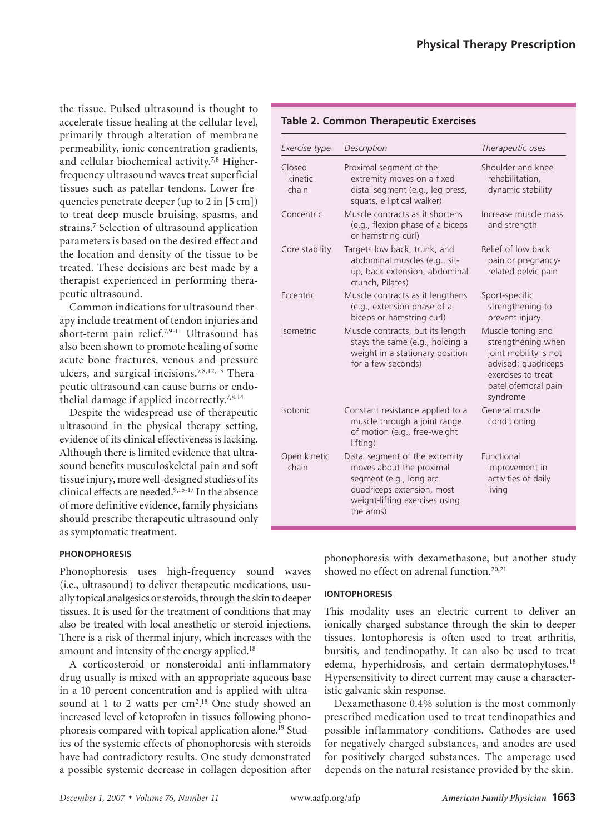the tissue. Pulsed ultrasound is thought to accelerate tissue healing at the cellular level, primarily through alteration of membrane permeability, ionic concentration gradients, and cellular biochemical activity.7,8 Higherfrequency ultrasound waves treat superficial tissues such as patellar tendons. Lower frequencies penetrate deeper (up to 2 in [5 cm]) to treat deep muscle bruising, spasms, and strains.7 Selection of ultrasound application parameters is based on the desired effect and the location and density of the tissue to be treated. These decisions are best made by a therapist experienced in performing therapeutic ultrasound.

Common indications for ultrasound therapy include treatment of tendon injuries and short-term pain relief.7,9-11 Ultrasound has also been shown to promote healing of some acute bone fractures, venous and pressure ulcers, and surgical incisions.7,8,12,13 Therapeutic ultrasound can cause burns or endothelial damage if applied incorrectly.7,8,14

Despite the widespread use of therapeutic ultrasound in the physical therapy setting, evidence of its clinical effectiveness is lacking. Although there is limited evidence that ultrasound benefits musculoskeletal pain and soft tissue injury, more well-designed studies of its clinical effects are needed.<sup>9,15-17</sup> In the absence of more definitive evidence, family physicians should prescribe therapeutic ultrasound only as symptomatic treatment.

#### **phonophoresis**

Phonophoresis uses high-frequency sound waves (i.e., ultrasound) to deliver therapeutic medications, usually topical analgesics or steroids, through the skin to deeper tissues. It is used for the treatment of conditions that may also be treated with local anesthetic or steroid injections. There is a risk of thermal injury, which increases with the amount and intensity of the energy applied.<sup>18</sup>

A corticosteroid or nonsteroidal anti-inflammatory drug usually is mixed with an appropriate aqueous base in a 10 percent concentration and is applied with ultrasound at 1 to 2 watts per  $\text{cm}^2$ .<sup>18</sup> One study showed an increased level of ketoprofen in tissues following phonophoresis compared with topical application alone.<sup>19</sup> Studies of the systemic effects of phonophoresis with steroids have had contradictory results. One study demonstrated a possible systemic decrease in collagen deposition after

#### **Table 2. Common Therapeutic Exercises**

| Exercise type              | Description                                                                                                                                                         | Therapeutic uses                                                                                                                                 |
|----------------------------|---------------------------------------------------------------------------------------------------------------------------------------------------------------------|--------------------------------------------------------------------------------------------------------------------------------------------------|
| Closed<br>kinetic<br>chain | Proximal segment of the<br>extremity moves on a fixed<br>distal segment (e.g., leg press,<br>squats, elliptical walker)                                             | Shoulder and knee<br>rehabilitation,<br>dynamic stability                                                                                        |
| Concentric                 | Muscle contracts as it shortens<br>(e.g., flexion phase of a biceps<br>or hamstring curl)                                                                           | Increase muscle mass<br>and strength                                                                                                             |
| Core stability             | Targets low back, trunk, and<br>abdominal muscles (e.g., sit-<br>up, back extension, abdominal<br>crunch, Pilates)                                                  | Relief of low back<br>pain or pregnancy-<br>related pelvic pain                                                                                  |
| Eccentric                  | Muscle contracts as it lengthens<br>(e.g., extension phase of a<br>biceps or hamstring curl)                                                                        | Sport-specific<br>strengthening to<br>prevent injury                                                                                             |
| Isometric                  | Muscle contracts, but its length<br>stays the same (e.g., holding a<br>weight in a stationary position<br>for a few seconds)                                        | Muscle toning and<br>strengthening when<br>joint mobility is not<br>advised; quadriceps<br>exercises to treat<br>patellofemoral pain<br>syndrome |
| <b>Isotonic</b>            | Constant resistance applied to a<br>muscle through a joint range<br>of motion (e.g., free-weight<br>lifting)                                                        | General muscle<br>conditioning                                                                                                                   |
| Open kinetic<br>chain      | Distal segment of the extremity<br>moves about the proximal<br>segment (e.g., long arc<br>quadriceps extension, most<br>weight-lifting exercises using<br>the arms) | Functional<br>improvement in<br>activities of daily<br>living                                                                                    |

phonophoresis with dexamethasone, but another study showed no effect on adrenal function.<sup>20,21</sup>

### **iontophoresis**

This modality uses an electric current to deliver an ionically charged substance through the skin to deeper tissues. Iontophoresis is often used to treat arthritis, bursitis, and tendinopathy. It can also be used to treat edema, hyperhidrosis, and certain dermatophytoses.<sup>18</sup> Hypersensitivity to direct current may cause a characteristic galvanic skin response.

Dexamethasone 0.4% solution is the most commonly prescribed medication used to treat tendinopathies and possible inflammatory conditions. Cathodes are used for negatively charged substances, and anodes are used for positively charged substances. The amperage used depends on the natural resistance provided by the skin.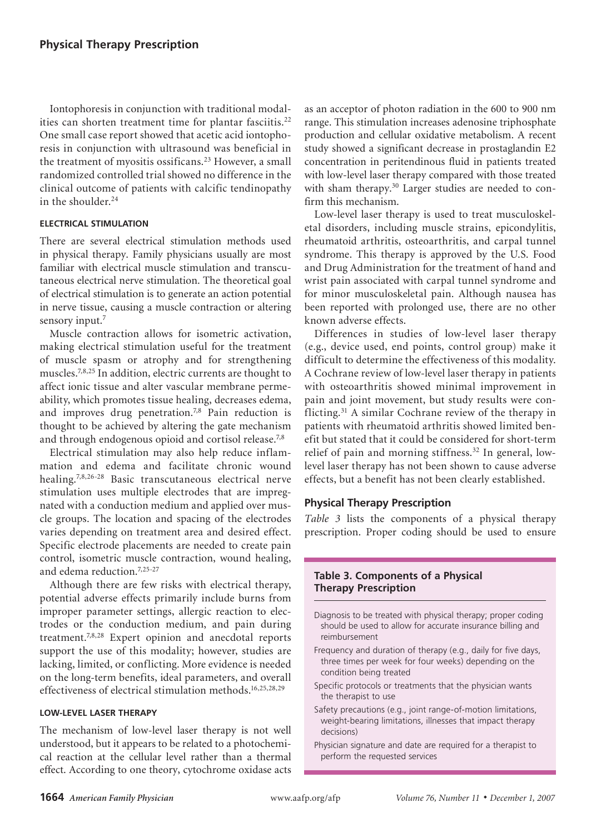Iontophoresis in conjunction with traditional modalities can shorten treatment time for plantar fasciitis.<sup>22</sup> One small case report showed that acetic acid iontophoresis in conjunction with ultrasound was beneficial in the treatment of myositis ossificans.23 However, a small randomized controlled trial showed no difference in the clinical outcome of patients with calcific tendinopathy in the shoulder.<sup>24</sup>

#### **electrical stimulation**

There are several electrical stimulation methods used in physical therapy. Family physicians usually are most familiar with electrical muscle stimulation and transcutaneous electrical nerve stimulation. The theoretical goal of electrical stimulation is to generate an action potential in nerve tissue, causing a muscle contraction or altering sensory input.<sup>7</sup>

Muscle contraction allows for isometric activation, making electrical stimulation useful for the treatment of muscle spasm or atrophy and for strengthening muscles.7,8,25 In addition, electric currents are thought to affect ionic tissue and alter vascular membrane permeability, which promotes tissue healing, decreases edema, and improves drug penetration.<sup>7,8</sup> Pain reduction is thought to be achieved by altering the gate mechanism and through endogenous opioid and cortisol release.7,8

Electrical stimulation may also help reduce inflammation and edema and facilitate chronic wound healing.7,8,26-28 Basic transcutaneous electrical nerve stimulation uses multiple electrodes that are impregnated with a conduction medium and applied over muscle groups. The location and spacing of the electrodes varies depending on treatment area and desired effect. Specific electrode placements are needed to create pain control, isometric muscle contraction, wound healing, and edema reduction.<sup>7,25-27</sup>

Although there are few risks with electrical therapy, potential adverse effects primarily include burns from improper parameter settings, allergic reaction to electrodes or the conduction medium, and pain during treatment.7,8,28 Expert opinion and anecdotal reports support the use of this modality; however, studies are lacking, limited, or conflicting. More evidence is needed on the long-term benefits, ideal parameters, and overall effectiveness of electrical stimulation methods.16,25,28,29

#### **low-level laser therapy**

The mechanism of low-level laser therapy is not well understood, but it appears to be related to a photochemical reaction at the cellular level rather than a thermal effect. According to one theory, cytochrome oxidase acts

as an acceptor of photon radiation in the 600 to 900 nm range. This stimulation increases adenosine triphosphate production and cellular oxidative metabolism. A recent study showed a significant decrease in prostaglandin E2 concentration in peritendinous fluid in patients treated with low-level laser therapy compared with those treated with sham therapy.<sup>30</sup> Larger studies are needed to confirm this mechanism.

Low-level laser therapy is used to treat musculoskeletal disorders, including muscle strains, epicondylitis, rheumatoid arthritis, osteoarthritis, and carpal tunnel syndrome. This therapy is approved by the U.S. Food and Drug Administration for the treatment of hand and wrist pain associated with carpal tunnel syndrome and for minor musculoskeletal pain. Although nausea has been reported with prolonged use, there are no other known adverse effects.

Differences in studies of low-level laser therapy (e.g., device used, end points, control group) make it difficult to determine the effectiveness of this modality. A Cochrane review of low-level laser therapy in patients with osteoarthritis showed minimal improvement in pain and joint movement, but study results were conflicting.31 A similar Cochrane review of the therapy in patients with rheumatoid arthritis showed limited benefit but stated that it could be considered for short-term relief of pain and morning stiffness.<sup>32</sup> In general, lowlevel laser therapy has not been shown to cause adverse effects, but a benefit has not been clearly established.

#### **Physical Therapy Prescription**

*Table 3* lists the components of a physical therapy prescription. Proper coding should be used to ensure

### **Table 3. Components of a Physical Therapy Prescription**

- Diagnosis to be treated with physical therapy; proper coding should be used to allow for accurate insurance billing and reimbursement
- Frequency and duration of therapy (e.g., daily for five days, three times per week for four weeks) depending on the condition being treated
- Specific protocols or treatments that the physician wants the therapist to use
- Safety precautions (e.g., joint range-of-motion limitations, weight-bearing limitations, illnesses that impact therapy decisions)
- Physician signature and date are required for a therapist to perform the requested services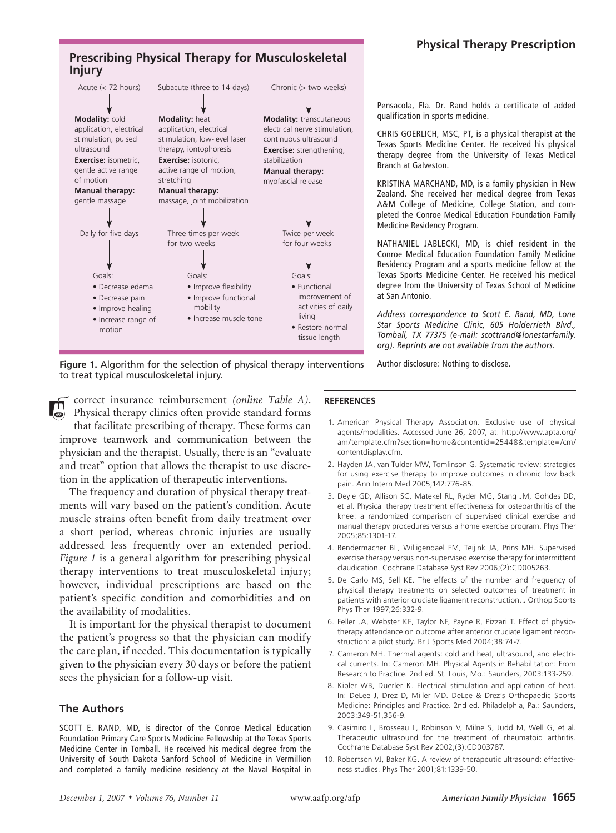## **Physical Therapy Prescription**



Pensacola, Fla. Dr. Rand holds a certificate of added qualification in sports medicine.

CHRIS GOERLICH, MSC, PT, is a physical therapist at the Texas Sports Medicine Center. He received his physical therapy degree from the University of Texas Medical Branch at Galveston.

kristina marchand, md, is a family physician in New Zealand. She received her medical degree from Texas A&M College of Medicine, College Station, and completed the Conroe Medical Education Foundation Family Medicine Residency Program.

NATHANIEL JABLECKI, MD, is chief resident in the Conroe Medical Education Foundation Family Medicine Residency Program and a sports medicine fellow at the Texas Sports Medicine Center. He received his medical degree from the University of Texas School of Medicine at San Antonio.

*Address correspondence to Scott E. Rand, MD, Lone Star Sports Medicine Clinic, 605 Holderrieth Blvd., Tomball, TX 77375 (e-mail: scottrand@lonestarfamily. org). Reprints are not available from the authors.*

**Figure 1.** Algorithm for the selection of physical therapy interventions to treat typical musculoskeletal injury.

correct insurance reimbursement *(online Table A)*. Physical therapy clinics often provide standard forms

that facilitate prescribing of therapy. These forms can improve teamwork and communication between the physician and the therapist. Usually, there is an "evaluate and treat" option that allows the therapist to use discretion in the application of therapeutic interventions.

The frequency and duration of physical therapy treatments will vary based on the patient's condition. Acute muscle strains often benefit from daily treatment over a short period, whereas chronic injuries are usually addressed less frequently over an extended period. *Figure 1* is a general algorithm for prescribing physical therapy interventions to treat musculoskeletal injury; however, individual prescriptions are based on the patient's specific condition and comorbidities and on the availability of modalities.

It is important for the physical therapist to document the patient's progress so that the physician can modify the care plan, if needed. This documentation is typically given to the physician every 30 days or before the patient sees the physician for a follow-up visit.

#### **The Authors**

SCOTT E. RAND, MD, is director of the Conroe Medical Education Foundation Primary Care Sports Medicine Fellowship at the Texas Sports Medicine Center in Tomball. He received his medical degree from the University of South Dakota Sanford School of Medicine in Vermillion and completed a family medicine residency at the Naval Hospital in

## **REFERENCES**

1. American Physical Therapy Association. Exclusive use of physical agents/modalities. Accessed June 26, 2007, at: http://www.apta.org/ am/template.cfm?section=home&contentid=25448&template=/cm/ contentdisplay.cfm.

Author disclosure: Nothing to disclose.

- 2. Hayden JA, van Tulder MW, Tomlinson G. Systematic review: strategies for using exercise therapy to improve outcomes in chronic low back pain. Ann Intern Med 2005;142:776-85.
- 3. Deyle GD, Allison SC, Matekel RL, Ryder MG, Stang JM, Gohdes DD, et al. Physical therapy treatment effectiveness for osteoarthritis of the knee: a randomized comparison of supervised clinical exercise and manual therapy procedures versus a home exercise program. Phys Ther 2005;85:1301-17.
- 4. Bendermacher BL, Willigendael EM, Teijink JA, Prins MH. Supervised exercise therapy versus non-supervised exercise therapy for intermittent claudication. Cochrane Database Syst Rev 2006;(2):CD005263.
- 5. De Carlo MS, Sell KE. The effects of the number and frequency of physical therapy treatments on selected outcomes of treatment in patients with anterior cruciate ligament reconstruction. J Orthop Sports Phys Ther 1997;26:332-9.
- 6. Feller JA, Webster KE, Taylor NF, Payne R, Pizzari T. Effect of physiotherapy attendance on outcome after anterior cruciate ligament reconstruction: a pilot study. Br J Sports Med 2004;38:74-7.
- 7. Cameron MH. Thermal agents: cold and heat, ultrasound, and electrical currents. In: Cameron MH. Physical Agents in Rehabilitation: From Research to Practice. 2nd ed. St. Louis, Mo.: Saunders, 2003:133-259.
- 8. Kibler WB, Duerler K. Electrical stimulation and application of heat. In: DeLee J, Drez D, Miller MD. DeLee & Drez's Orthopaedic Sports Medicine: Principles and Practice. 2nd ed. Philadelphia, Pa.: Saunders, 2003:349-51,356-9.
- 9. Casimiro L, Brosseau L, Robinson V, Milne S, Judd M, Well G, et al. Therapeutic ultrasound for the treatment of rheumatoid arthritis. Cochrane Database Syst Rev 2002;(3):CD003787.
- 10. Robertson VJ, Baker KG. A review of therapeutic ultrasound: effectiveness studies. Phys Ther 2001;81:1339-50.